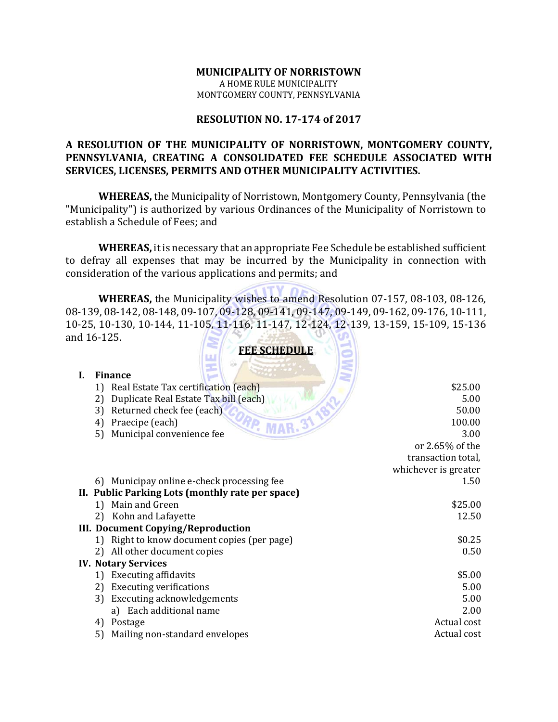# **MUNICIPALITY OF NORRISTOWN** A HOME RULE MUNICIPALITY MONTGOMERY COUNTY, PENNSYLVANIA

# **RESOLUTION NO. 17‐174 of 2017**

# **A RESOLUTION OF THE MUNICIPALITY OF NORRISTOWN, MONTGOMERY COUNTY, PENNSYLVANIA, CREATING A CONSOLIDATED FEE SCHEDULE ASSOCIATED WITH SERVICES, LICENSES, PERMITS AND OTHER MUNICIPALITY ACTIVITIES.**

**WHEREAS,** the Municipality of Norristown, Montgomery County, Pennsylvania (the "Municipality") is authorized by various Ordinances of the Municipality of Norristown to establish a Schedule of Fees; and

**WHEREAS**, it is necessary that an appropriate Fee Schedule be established sufficient to defray all expenses that may be incurred by the Municipality in connection with consideration of the various applications and permits; and

**WHEREAS,** the Municipality wishes to amend Resolution 07-157, 08-103, 08-126, 08-139, 08-142, 08-148, 09-107, 09-128, 09-141, 09-147, 09-149, 09-162, 09-176, 10-111, 10‐25, 10‐130, 10‐144, 11‐105, 11‐116, 11‐147, 12‐124, 12‐139, 13‐159, 15‐109, 15‐136 and 16-125. **FEED SCHEDULE** 

|    | <u>FEE SCHEDULE</u>                              |                      |
|----|--------------------------------------------------|----------------------|
|    | 200                                              |                      |
| I. | <b>Finance</b>                                   |                      |
|    | Real Estate Tax certification (each)<br>1)       | \$25.00              |
|    | Duplicate Real Estate Tax bill (each)<br>2)      | 5.00                 |
|    | Returned check fee (each)<br>3)                  | 50.00                |
|    | Praecipe (each)<br>4                             | 100.00               |
|    | Municipal convenience fee<br>5)                  | 3.00                 |
|    |                                                  | or 2.65% of the      |
|    |                                                  | transaction total,   |
|    |                                                  | whichever is greater |
|    | 6) Municipay online e-check processing fee       | 1.50                 |
|    | II. Public Parking Lots (monthly rate per space) |                      |
|    | Main and Green<br>1)                             | \$25.00              |
|    | Kohn and Lafayette<br>2)                         | 12.50                |
|    | <b>III. Document Copying/Reproduction</b>        |                      |
|    | Right to know document copies (per page)<br>1)   | \$0.25               |
|    | All other document copies<br>2)                  | 0.50                 |
|    | <b>IV. Notary Services</b>                       |                      |
|    | <b>Executing affidavits</b><br>1)                | \$5.00               |
|    |                                                  |                      |
|    | <b>Executing verifications</b><br>2)             | 5.00                 |
|    | <b>Executing acknowledgements</b><br>3)          | 5.00                 |
|    | a) Each additional name                          | 2.00                 |
|    | Postage<br>4)                                    | Actual cost          |
|    | 5)<br>Mailing non-standard envelopes             | Actual cost          |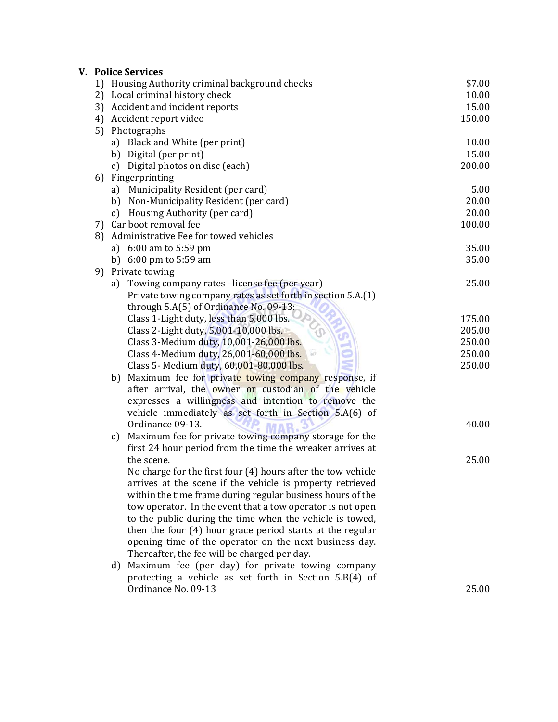|    | <b>V. Police Services</b>                                    |        |
|----|--------------------------------------------------------------|--------|
|    | 1) Housing Authority criminal background checks              | \$7.00 |
|    | 2) Local criminal history check                              | 10.00  |
|    | 3) Accident and incident reports                             | 15.00  |
| 4) | Accident report video                                        | 150.00 |
| 5) | Photographs                                                  |        |
|    | a) Black and White (per print)                               | 10.00  |
|    | b) Digital (per print)                                       | 15.00  |
|    | c) Digital photos on disc (each)                             | 200.00 |
| 6) | Fingerprinting                                               |        |
|    | Municipality Resident (per card)<br>a)                       | 5.00   |
|    | b) Non-Municipality Resident (per card)                      | 20.00  |
|    | Housing Authority (per card)<br>c)                           | 20.00  |
|    | 7) Car boot removal fee                                      | 100.00 |
| 8) | Administrative Fee for towed vehicles                        |        |
|    | a) $6:00$ am to $5:59$ pm                                    | 35.00  |
|    | b) $6:00 \text{ pm}$ to $5:59 \text{ am}$                    | 35.00  |
| 9) | Private towing                                               |        |
|    | a) Towing company rates -license fee (per year)              | 25.00  |
|    | Private towing company rates as set forth in section 5.A.(1) |        |
|    | through 5.A(5) of Ordinance No. 09-13:                       |        |
|    | Class 1-Light duty, less than 5,000 lbs.                     | 175.00 |
|    | Class 2-Light duty, 5,001-10,000 lbs.                        | 205.00 |
|    | Class 3-Medium duty, 10,001-26,000 lbs.                      | 250.00 |
|    | W<br>Class 4-Medium duty, 26,001-60,000 lbs.                 | 250.00 |
|    | Class 5- Medium duty, 60,001-80,000 lbs.                     | 250.00 |
|    | Maximum fee for private towing company response, if<br>b)    |        |
|    | after arrival, the owner or custodian of the vehicle         |        |
|    | expresses a willingness and intention to remove the          |        |
|    | vehicle immediately as set forth in Section 5.A(6) of        |        |
|    | Ordinance 09-13.                                             | 40.00  |
|    | Maximum fee for private towing company storage for the<br>c) |        |
|    | first 24 hour period from the time the wreaker arrives at    |        |
|    | the scene.                                                   | 25.00  |
|    | No charge for the first four (4) hours after the tow vehicle |        |
|    | arrives at the scene if the vehicle is property retrieved    |        |
|    | within the time frame during regular business hours of the   |        |
|    | tow operator. In the event that a tow operator is not open   |        |
|    | to the public during the time when the vehicle is towed,     |        |
|    | then the four (4) hour grace period starts at the regular    |        |
|    | opening time of the operator on the next business day.       |        |
|    | Thereafter, the fee will be charged per day.                 |        |
|    | Maximum fee (per day) for private towing company<br>d)       |        |
|    | protecting a vehicle as set forth in Section 5.B(4) of       |        |
|    | Ordinance No. 09-13                                          | 25.00  |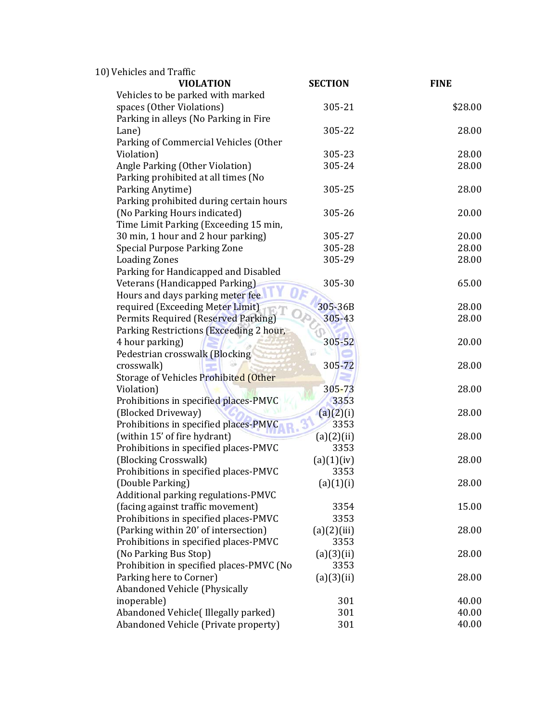| 10) Vehicles and Traffic                                              |                    |             |
|-----------------------------------------------------------------------|--------------------|-------------|
| <b>VIOLATION</b>                                                      | <b>SECTION</b>     | <b>FINE</b> |
| Vehicles to be parked with marked                                     |                    |             |
| spaces (Other Violations)                                             | 305-21             | \$28.00     |
| Parking in alleys (No Parking in Fire                                 |                    |             |
| Lane)<br>Parking of Commercial Vehicles (Other                        | 305-22             | 28.00       |
| Violation)                                                            | 305-23             | 28.00       |
| Angle Parking (Other Violation)                                       | 305-24             | 28.00       |
| Parking prohibited at all times (No                                   |                    |             |
| Parking Anytime)                                                      | 305-25             | 28.00       |
| Parking prohibited during certain hours                               |                    |             |
| (No Parking Hours indicated)                                          | 305-26             | 20.00       |
| Time Limit Parking (Exceeding 15 min,                                 |                    |             |
| 30 min, 1 hour and 2 hour parking)                                    | 305-27             | 20.00       |
| <b>Special Purpose Parking Zone</b>                                   | 305-28             | 28.00       |
| <b>Loading Zones</b>                                                  | 305-29             | 28.00       |
| Parking for Handicapped and Disabled                                  |                    |             |
| Veterans (Handicapped Parking)                                        | 305-30             | 65.00       |
| Hours and days parking meter fee                                      |                    |             |
| required (Exceeding Meter Limit)                                      | 305-36B            | 28.00       |
| Permits Required (Reserved Parking)                                   | 305-43             | 28.00       |
| Parking Restrictions (Exceeding 2 hour,                               |                    |             |
| 4 hour parking)                                                       | 305-52             | 20.00       |
| Pedestrian crosswalk (Blocking                                        | àŵ                 |             |
| crosswalk)                                                            | 305-72             | 28.00       |
| Storage of Vehicles Prohibited (Other                                 |                    |             |
| Violation)                                                            | $305 - 73$         | 28.00       |
| Prohibitions in specified places-PMVC                                 | 3353               |             |
| (Blocked Driveway)                                                    | (a)(2)(i)          | 28.00       |
| Prohibitions in specified places-PMVC                                 | 3353               |             |
| (within 15' of fire hydrant)<br>Prohibitions in specified places-PMVC | (a)(2)(ii)<br>3353 | 28.00       |
| (Blocking Crosswalk)                                                  | (a)(1)(iv)         | 28.00       |
| Prohibitions in specified places-PMVC                                 | 3353               |             |
| (Double Parking)                                                      | (a)(1)(i)          | 28.00       |
| Additional parking regulations-PMVC                                   |                    |             |
| (facing against traffic movement)                                     | 3354               | 15.00       |
| Prohibitions in specified places-PMVC                                 | 3353               |             |
| (Parking within 20' of intersection)                                  | (a)(2)(iii)        | 28.00       |
| Prohibitions in specified places-PMVC                                 | 3353               |             |
| (No Parking Bus Stop)                                                 | (a)(3)(ii)         | 28.00       |
| Prohibition in specified places-PMVC (No                              | 3353               |             |
| Parking here to Corner)                                               | (a)(3)(ii)         | 28.00       |
| Abandoned Vehicle (Physically                                         |                    |             |
| inoperable)                                                           | 301                | 40.00       |
| Abandoned Vehicle(Illegally parked)                                   | 301                | 40.00       |
| Abandoned Vehicle (Private property)                                  | 301                | 40.00       |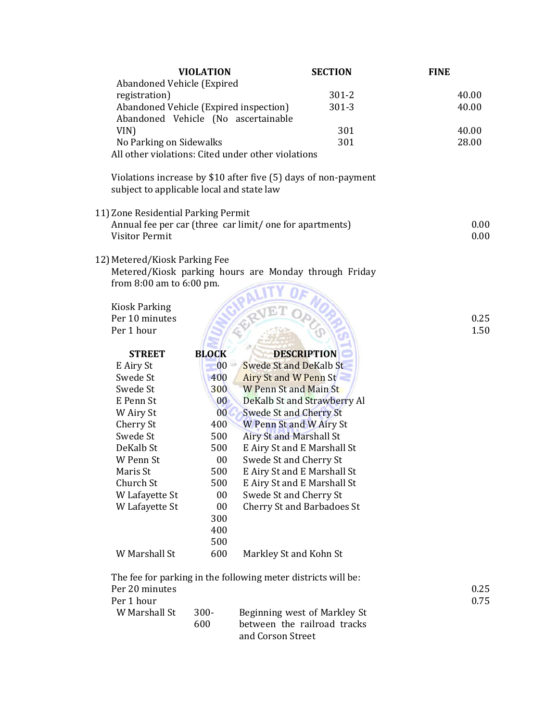| Abandoned Vehicle (Expired<br>registration)<br>$301 - 2$<br>Abandoned Vehicle (Expired inspection)<br>$301 - 3$ | 40.00<br>40.00 |
|-----------------------------------------------------------------------------------------------------------------|----------------|
|                                                                                                                 |                |
|                                                                                                                 |                |
|                                                                                                                 |                |
| Abandoned Vehicle (No ascertainable                                                                             |                |
| VIN)<br>301                                                                                                     | 40.00          |
| 301<br>No Parking on Sidewalks                                                                                  | 28.00          |
| All other violations: Cited under other violations                                                              |                |
| Violations increase by \$10 after five (5) days of non-payment<br>subject to applicable local and state law     |                |
| 11) Zone Residential Parking Permit                                                                             |                |
| Annual fee per car (three car limit/ one for apartments)                                                        | 0.00           |
| <b>Visitor Permit</b>                                                                                           | 0.00           |
|                                                                                                                 |                |
| 12) Metered/Kiosk Parking Fee                                                                                   |                |
| Metered/Kiosk parking hours are Monday through Friday                                                           |                |
| from $8:00$ am to $6:00$ pm.                                                                                    |                |
|                                                                                                                 |                |
| <b>Kiosk Parking</b>                                                                                            |                |
| Per 10 minutes                                                                                                  | 0.25           |
| Per 1 hour                                                                                                      | 1.50           |
|                                                                                                                 |                |
| <b>DESCRIPTION</b><br><b>STREET</b><br><b>BLOCK</b>                                                             |                |
| <b>Swede St and DeKalb St</b><br>$00 -$<br>E Airy St                                                            |                |
| Swede St<br>400<br>Airy St and W Penn St                                                                        |                |
| <b>W Penn St and Main St</b><br>Swede St<br>300                                                                 |                |
| DeKalb St and Strawberry Al<br>E Penn St<br>$00\,$                                                              |                |
| <b>Swede St and Cherry St</b><br>W Airy St<br>0 <sub>0</sub>                                                    |                |
| Cherry St<br>400<br>W Penn St and W Airy St                                                                     |                |
| Swede St<br><b>Airy St and Marshall St</b><br>500                                                               |                |
| E Airy St and E Marshall St<br>DeKalb St<br>500                                                                 |                |
| Swede St and Cherry St<br>W Penn St<br>00                                                                       |                |
| 500<br>E Airy St and E Marshall St<br>Maris St                                                                  |                |
| Church St<br>500<br>E Airy St and E Marshall St                                                                 |                |
| W Lafayette St<br>00<br>Swede St and Cherry St                                                                  |                |
| W Lafayette St<br>00<br><b>Cherry St and Barbadoes St</b>                                                       |                |
| 300                                                                                                             |                |
| 400                                                                                                             |                |
| 500                                                                                                             |                |
| W Marshall St<br>600<br>Markley St and Kohn St                                                                  |                |
| The fee for parking in the following meter districts will be:                                                   |                |
| Per 20 minutes                                                                                                  | 0.25           |
| Per 1 hour                                                                                                      | 0.75           |
| W Marshall St<br>300-<br>Beginning west of Markley St                                                           |                |
| between the railroad tracks<br>600                                                                              |                |
| and Corson Street                                                                                               |                |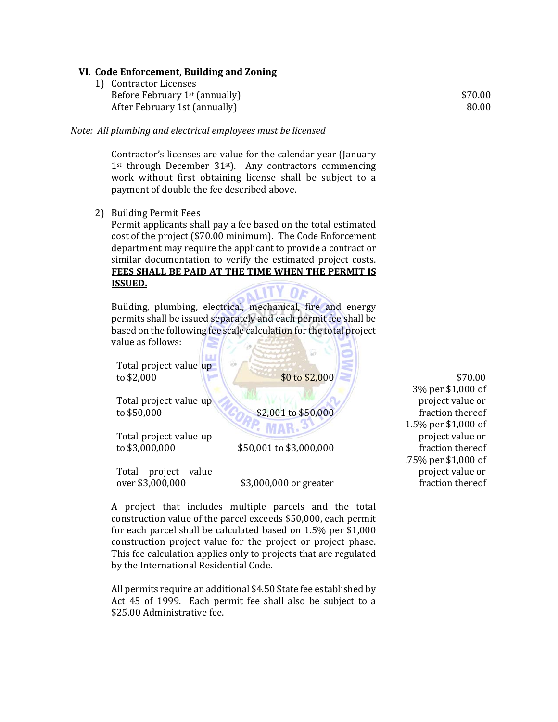## **VI. Code Enforcement, Building and Zoning**

1) Contractor Licenses Before February  $1<sup>st</sup>$  (annually) After February 1st (annually)

*Note: All plumbing and electrical employees must be licensed*

Contractor's licenses are value for the calendar year (January  $1$ <sup>st</sup> through December  $31$ <sup>st</sup>). Any contractors commencing work without first obtaining license shall be subject to a payment of double the fee described above.

2) Building Permit Fees

Permit applicants shall pay a fee based on the total estimated cost of the project (\$70.00 minimum). The Code Enforcement department may require the applicant to provide a contract or similar documentation to verify the estimated project costs. **FEES SHALL BE PAID AT THE TIME WHEN THE PERMIT IS ISSUED.**

Building, plumbing, electrical, mechanical, fire and energy permits shall be issued separately and each permit fee shall be based on the following fee scale calculation for the total project value as follows:

Total project value up to  $$2,000$  \$0 to  $$2,000$ 

Total project value up to  $$50,000$  \$2,001 to \$50,000

Total project value up to \$3,000,000 \$50,001 to \$3,000,000

Total project value over \$3,000,000 \$3,000,000 or greater

A project that includes multiple parcels and the total construction value of the parcel exceeds \$50,000, each permit for each parcel shall be calculated based on  $1.5\%$  per \$1,000 construction project value for the project or project phase. This fee calculation applies only to projects that are regulated by the International Residential Code.

All permits require an additional \$4.50 State fee established by Act 45 of 1999. Each permit fee shall also be subject to a \$25.00 Administrative fee.

\$70.00 3% per \$1,000 of project value or fraction thereof 1.5% per \$1,000 of project value or fraction thereof .75% per \$1,000 of project value or fraction thereof

\$70.00 80.00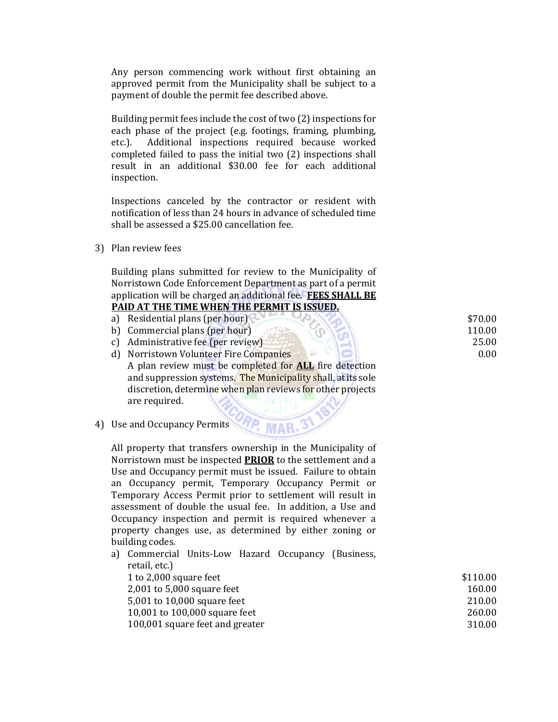Any person commencing work without first obtaining an approved permit from the Municipality shall be subject to a payment of double the permit fee described above.

Building permit fees include the cost of two (2) inspections for each phase of the project (e.g. footings, framing, plumbing, etc.). Additional inspections required because worked completed failed to pass the initial two (2) inspections shall result in an additional \$30.00 fee for each additional inspection. 

Inspections canceled by the contractor or resident with notification of less than 24 hours in advance of scheduled time shall be assessed a  $$25.00$  cancellation  $fe$ .

3) Plan review fees

Building plans submitted for review to the Municipality of Norristown Code Enforcement Department as part of a permit application will be charged an additional fee. **FEES SHALL BE PAID AT THE TIME WHEN THE PERMIT IS ISSUED.**

| Residential plans (per hour)                                                                                                                                                                                                                                               | \$70.00           |
|----------------------------------------------------------------------------------------------------------------------------------------------------------------------------------------------------------------------------------------------------------------------------|-------------------|
| b) Commercial plans (per hour)                                                                                                                                                                                                                                             | 110.00            |
| c) Administrative fee (per review)                                                                                                                                                                                                                                         | 25.00             |
| d) Norristown Volunteer Fire Companies                                                                                                                                                                                                                                     | 0.00 <sub>1</sub> |
| $\mathbf{A}$ . The same set of $\mathbf{A}$ is a set of $\mathbf{A}$ is a set of $\mathbf{A}$ is a set of $\mathbf{A}$ is a set of $\mathbf{A}$ is a set of $\mathbf{A}$ is a set of $\mathbf{A}$ is a set of $\mathbf{A}$ is a set of $\mathbf{A}$ is a set of $\mathbf{$ |                   |

A plan review must be completed for **ALL** fire detection and suppression systems. The Municipality shall, at its sole discretion, determine when plan reviews for other projects are required.

4) Use and Occupancy Permits

All property that transfers ownership in the Municipality of Norristown must be inspected **PRIOR** to the settlement and a Use and Occupancy permit must be issued. Failure to obtain an Occupancy permit, Temporary Occupancy Permit or Temporary Access Permit prior to settlement will result in assessment of double the usual fee. In addition, a Use and Occupancy inspection and permit is required whenever a property changes use, as determined by either zoning or building codes.

a) Commercial Units-Low Hazard Occupancy (Business, retail, etc.) 1 to 2,000 square feet 2,001 to 5,000 square feet 5,001 to 10,000 square feet 10,001 to 100,000 square feet 100,001 square feet and greater \$110.00 160.00 210.00 260.00 310.00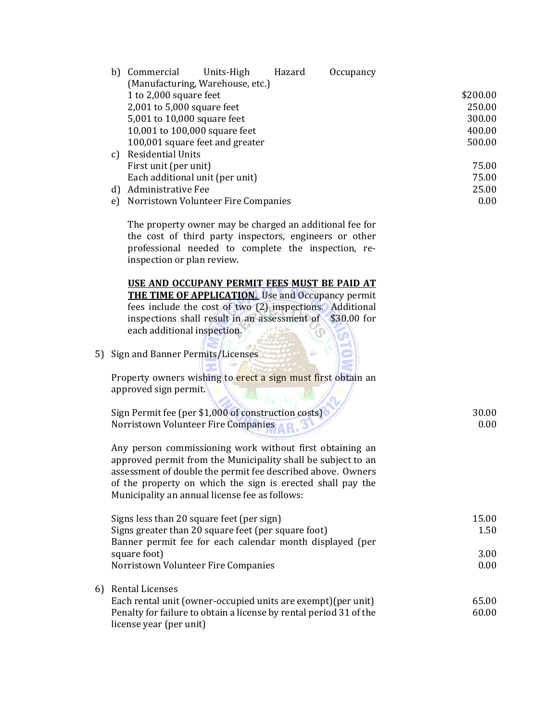|    | Commercial<br>b)<br>Units-High<br>Hazard<br>Occupancy<br>(Manufacturing, Warehouse, etc.)                                                                                                                                                                                                               |          |
|----|---------------------------------------------------------------------------------------------------------------------------------------------------------------------------------------------------------------------------------------------------------------------------------------------------------|----------|
|    | 1 to 2,000 square feet                                                                                                                                                                                                                                                                                  | \$200.00 |
|    | 2,001 to 5,000 square feet                                                                                                                                                                                                                                                                              | 250.00   |
|    | 5,001 to 10,000 square feet                                                                                                                                                                                                                                                                             | 300.00   |
|    | 10,001 to 100,000 square feet                                                                                                                                                                                                                                                                           | 400.00   |
|    | 100,001 square feet and greater                                                                                                                                                                                                                                                                         | 500.00   |
|    | <b>Residential Units</b><br>c)                                                                                                                                                                                                                                                                          |          |
|    | First unit (per unit)                                                                                                                                                                                                                                                                                   | 75.00    |
|    | Each additional unit (per unit)                                                                                                                                                                                                                                                                         | 75.00    |
|    | d) Administrative Fee                                                                                                                                                                                                                                                                                   | 25.00    |
|    | Norristown Volunteer Fire Companies<br>e)                                                                                                                                                                                                                                                               | 0.00     |
|    | The property owner may be charged an additional fee for<br>the cost of third party inspectors, engineers or other<br>professional needed to complete the inspection, re-<br>inspection or plan review.                                                                                                  |          |
|    | USE AND OCCUPANY PERMIT FEES MUST BE PAID AT<br><b>THE TIME OF APPLICATION.</b> Use and Occupancy permit<br>fees include the cost of two (2) inspections. Additional<br>inspections shall result in an assessment of \$30.00 for<br>each additional inspection.                                         |          |
| 5) | Sign and Banner Permits/Licenses                                                                                                                                                                                                                                                                        |          |
|    | Property owners wishing to erect a sign must first obtain an<br>approved sign permit.                                                                                                                                                                                                                   |          |
|    | Sign Permit fee (per \$1,000 of construction costs)                                                                                                                                                                                                                                                     | 30.00    |
|    | Norristown Volunteer Fire Companies                                                                                                                                                                                                                                                                     | 0.00     |
|    | Any person commissioning work without first obtaining an<br>approved permit from the Municipality shall be subject to an<br>assessment of double the permit fee described above. Owners<br>of the property on which the sign is erected shall pay the<br>Municipality an annual license fee as follows: |          |
|    | Signs less than 20 square feet (per sign)                                                                                                                                                                                                                                                               | 15.00    |
|    | Signs greater than 20 square feet (per square foot)                                                                                                                                                                                                                                                     | 1.50     |
|    | Banner permit fee for each calendar month displayed (per                                                                                                                                                                                                                                                |          |
|    | square foot)                                                                                                                                                                                                                                                                                            | 3.00     |
|    | Norristown Volunteer Fire Companies                                                                                                                                                                                                                                                                     | 0.00     |
| 6) | <b>Rental Licenses</b>                                                                                                                                                                                                                                                                                  |          |
|    | Each rental unit (owner-occupied units are exempt) (per unit)                                                                                                                                                                                                                                           | 65.00    |
|    | Penalty for failure to obtain a license by rental period 31 of the<br>license year (per unit)                                                                                                                                                                                                           | 60.00    |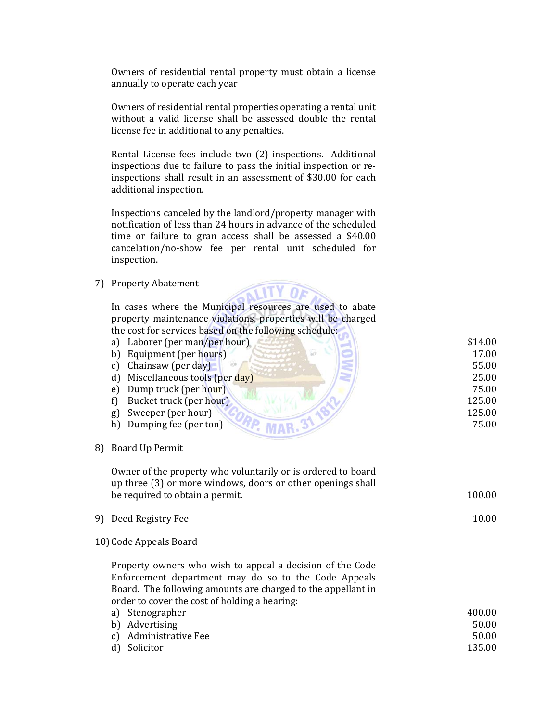Owners of residential rental property must obtain a license annually to operate each year

Owners of residential rental properties operating a rental unit without a valid license shall be assessed double the rental license fee in additional to any penalties.

Rental License fees include two (2) inspections. Additional inspections due to failure to pass the initial inspection or reinspections shall result in an assessment of \$30.00 for each additional inspection.

Inspections canceled by the landlord/property manager with notification of less than 24 hours in advance of the scheduled time or failure to gran access shall be assessed a  $$40.00$ cancelation/no-show fee per rental unit scheduled for inspection. 

7) Property Abatement 



|    | the cost for services based on the following sencutive. |         |
|----|---------------------------------------------------------|---------|
|    | a) Laborer (per man/per hour)                           | \$14.00 |
|    | Equipment (per hours)<br>b)                             | 17.00   |
|    | Chainsaw (per day)<br>C)                                | 55.00   |
|    | Miscellaneous tools (per day)<br>d)                     | 25.00   |
|    | Dump truck (per hour)<br>e)                             | 75.00   |
|    | Bucket truck (per hour)                                 | 125.00  |
|    | Sweeper (per hour)<br>g)                                | 125.00  |
|    | h) Dumping fee (per ton)                                | 75.00   |
|    |                                                         |         |
| 8) | <b>Board Up Permit</b>                                  |         |

Owner of the property who voluntarily or is ordered to board up three (3) or more windows, doors or other openings shall be required to obtain a permit.

| 9) Deed Registry Fee |  |
|----------------------|--|
|                      |  |

10) Code Appeals Board

Property owners who wish to appeal a decision of the Code Enforcement department may do so to the Code Appeals Board. The following amounts are charged to the appellant in order to cover the cost of holding a hearing:

| a) Stenographer       | 400.00 |
|-----------------------|--------|
| b) Advertising        | 50.00  |
| c) Administrative Fee | 50.00  |
| d) Solicitor          | 135.00 |

100.00 

10.00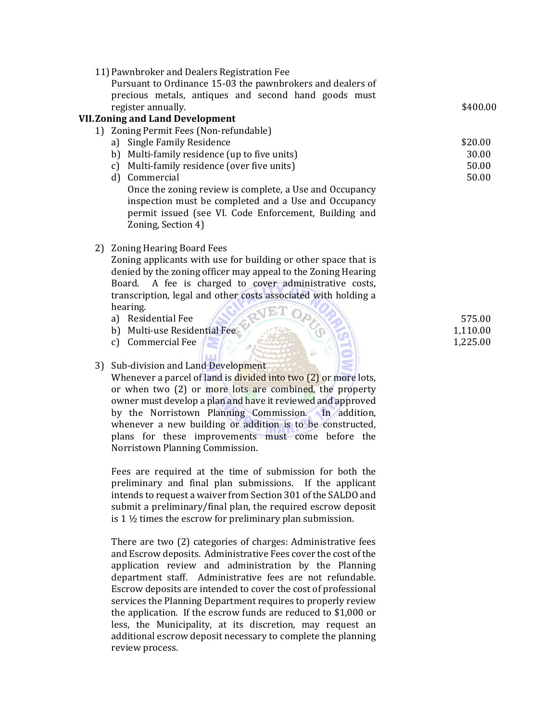| 11) Pawnbroker and Dealers Registration Fee<br>Pursuant to Ordinance 15-03 the pawnbrokers and dealers of |          |
|-----------------------------------------------------------------------------------------------------------|----------|
| precious metals, antiques and second hand goods must<br>register annually.                                | \$400.00 |
| <b>VII. Zoning and Land Development</b>                                                                   |          |
| 1) Zoning Permit Fees (Non-refundable)                                                                    |          |
| a) Single Family Residence                                                                                | \$20.00  |
| Multi-family residence (up to five units)<br>b)                                                           | 30.00    |
| Multi-family residence (over five units)<br>$\mathbf{c}$                                                  | 50.00    |
| Commercial<br>$\mathbf{d}$                                                                                | 50.00    |
| Once the zoning review is complete, a Use and Occupancy                                                   |          |
| inspection must be completed and a Use and Occupancy                                                      |          |
| permit issued (see VI. Code Enforcement, Building and                                                     |          |
| Zoning, Section 4)                                                                                        |          |
| <b>Zoning Hearing Board Fees</b><br>2)                                                                    |          |
| Zoning applicants with use for building or other space that is                                            |          |
| denied by the zoning officer may appeal to the Zoning Hearing                                             |          |
| A fee is charged to cover administrative costs,<br>Board.                                                 |          |
| transcription, legal and other costs associated with holding a                                            |          |
| hearing.                                                                                                  |          |
| a) Residential Fee                                                                                        | 575.00   |
| b) Multi-use Residential Fee                                                                              | 1,110.00 |
| Commercial Fee<br>$\mathbf{c}$ )                                                                          | 1,225.00 |
|                                                                                                           |          |
| 3) Sub-division and Land Development                                                                      |          |
| Whenever a parcel of land is divided into two (2) or more lots,                                           |          |
| or when two (2) or more lots are combined, the property                                                   |          |
| owner must develop a plan and have it reviewed and approved                                               |          |
| by the Norristown Planning Commission. In addition,                                                       |          |
| whenever a new building or addition is to be constructed,                                                 |          |
| plans for these improvements must come before the                                                         |          |

Norristown Planning Commission. 

Fees are required at the time of submission for both the preliminary and final plan submissions. If the applicant intends to request a waiver from Section 301 of the SALDO and submit a preliminary/final plan, the required escrow deposit is  $1\frac{1}{2}$  times the escrow for preliminary plan submission.

There are two  $(2)$  categories of charges: Administrative fees and Escrow deposits. Administrative Fees cover the cost of the application review and administration by the Planning department staff. Administrative fees are not refundable. Escrow deposits are intended to cover the cost of professional services the Planning Department requires to properly review the application. If the escrow funds are reduced to  $$1,000$  or less, the Municipality, at its discretion, may request an additional escrow deposit necessary to complete the planning review process.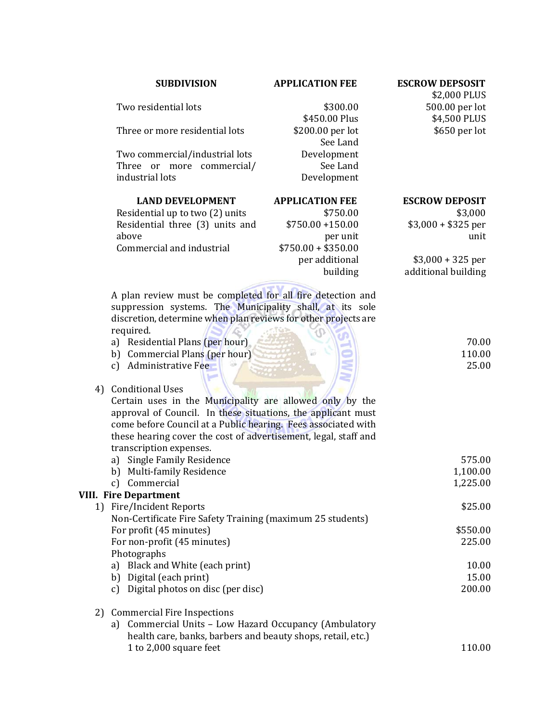# **SUBDIVISION APPLICATION FEE ESCROW DEPSOSIT**

\$450.00 Plus \$200.00 per lot

> See Land Development

See Land Development 

Two residential lots  $$300.00$ 

Three or more residential lots

Two commercial/industrial lots Three or more commercial/ industrial lots

**LAND DEVELOPMENT APPLICATION FEE** Residential up to two  $(2)$  units  $$750.00$ Residential three (3) units and above  $$750.00 + 150.00$ per unit  $Commercial$  and industrial  $$750.00 + $350.00$ per additional building 

A plan review must be completed for all fire detection and suppression systems. The Municipality shall, at its sole discretion, determine when plan reviews for other projects are required. 

- a) Residential Plans (per hour)
- b) Commercial Plans (per hour)
- c) Administrative Fee

# 4) Conditional Uses

Certain uses in the Municipality are allowed only by the approval of Council. In these situations, the applicant must come before Council at a Public hearing. Fees associated with these hearing cover the cost of advertisement, legal, staff and transcription expenses.

a) Single Family Residence b) Multi-family Residence c) Commercial 575.00 1,100.00 1,225.00 **VIII. Fire Department** 1) Fire/Incident Reports Non-Certificate Fire Safety Training (maximum 25 students) For profit (45 minutes) For non-profit (45 minutes) Photographs a) Black and White (each print) b) Digital (each print) c) Digital photos on disc (per disc) \$25.00 \$550.00 225.00 10.00 15.00 200.00 

2) Commercial Fire Inspections

a) Commercial Units - Low Hazard Occupancy (Ambulatory health care, banks, barbers and beauty shops, retail, etc.) 1 to 2,000 square feet 110.00 

\$2,000 PLUS 500.00 per lot \$4,500 PLUS \$650 per lot 

# **ESCROW DEPOSIT**

\$3,000  $$3,000 + $325$  per unit 

 $$3,000 + 325$  per additional building

> 70.00 110.00 25.00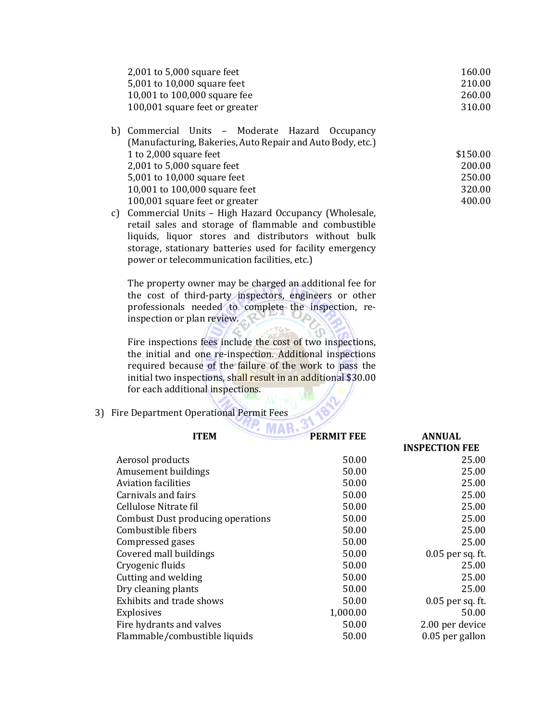| $2,001$ to 5,000 square feet   | 160.00 |
|--------------------------------|--------|
| 5,001 to 10,000 square feet    | 210.00 |
| 10,001 to $100,000$ square fee | 260.00 |
| 100,001 square feet or greater | 310.00 |

| b) Commercial Units - Moderate Hazard Occupancy            |          |
|------------------------------------------------------------|----------|
| (Manufacturing, Bakeries, Auto Repair and Auto Body, etc.) |          |
| 1 to 2,000 square feet                                     | \$150.00 |
| 2,001 to $5,000$ square feet                               | 200.00   |
| 5,001 to 10,000 square feet                                | 250.00   |
| 10,001 to 100,000 square feet                              | 320.00   |
| 100,001 square feet or greater                             | 400.00   |
|                                                            |          |

c) Commercial Units - High Hazard Occupancy (Wholesale, retail sales and storage of flammable and combustible liquids, liquor stores and distributors without bulk storage, stationary batteries used for facility emergency power or telecommunication facilities, etc.)

The property owner may be charged an additional fee for the cost of third-party inspectors, engineers or other professionals needed to complete the inspection, reinspection or plan review.

Fire inspections fees include the cost of two inspections, the initial and one re-inspection. Additional inspections required because of the failure of the work to pass the initial two inspections, shall result in an additional \$30.00 for each additional inspections.

3) Fire Department Operational Permit Fees

| <b>PERMIT FEE</b><br><b>ITEM</b><br><b>ANNUAL</b> |          |                       |  |  |
|---------------------------------------------------|----------|-----------------------|--|--|
|                                                   |          | <b>INSPECTION FEE</b> |  |  |
| Aerosol products                                  | 50.00    | 25.00                 |  |  |
| Amusement buildings                               | 50.00    | 25.00                 |  |  |
| <b>Aviation facilities</b>                        | 50.00    | 25.00                 |  |  |
| Carnivals and fairs                               | 50.00    | 25.00                 |  |  |
| Cellulose Nitrate fil                             | 50.00    | 25.00                 |  |  |
| Combust Dust producing operations                 | 50.00    | 25.00                 |  |  |
| Combustible fibers                                | 50.00    | 25.00                 |  |  |
| Compressed gases                                  | 50.00    | 25.00                 |  |  |
| Covered mall buildings                            | 50.00    | $0.05$ per sq. ft.    |  |  |
| Cryogenic fluids                                  | 50.00    | 25.00                 |  |  |
| Cutting and welding                               | 50.00    | 25.00                 |  |  |
| Dry cleaning plants                               | 50.00    | 25.00                 |  |  |
| <b>Exhibits and trade shows</b>                   | 50.00    | 0.05 per sq. ft.      |  |  |
| <b>Explosives</b>                                 | 1,000.00 | 50.00                 |  |  |
| Fire hydrants and valves                          | 50.00    | 2.00 per device       |  |  |
| Flammable/combustible liquids                     | 50.00    | 0.05 per gallon       |  |  |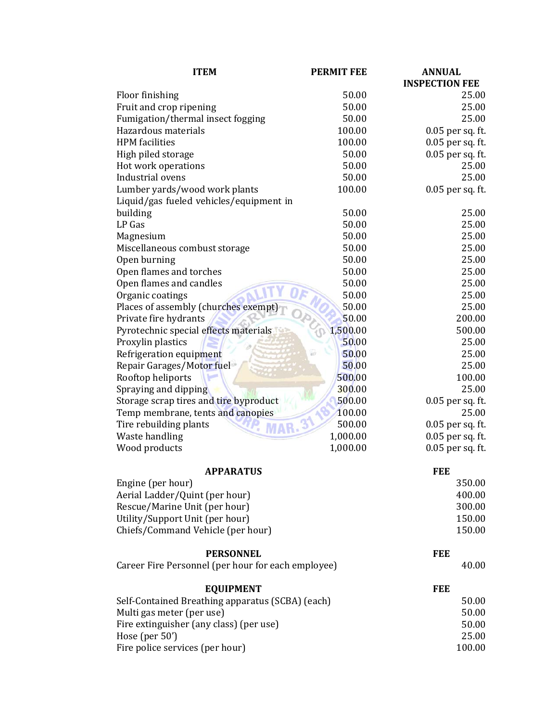| <b>ITEM</b>                                        | <b>PERMIT FEE</b> | <b>ANNUAL</b>         |
|----------------------------------------------------|-------------------|-----------------------|
|                                                    |                   | <b>INSPECTION FEE</b> |
| Floor finishing                                    | 50.00             | 25.00                 |
| Fruit and crop ripening                            | 50.00             | 25.00                 |
| Fumigation/thermal insect fogging                  | 50.00             | 25.00                 |
| Hazardous materials                                | 100.00            | 0.05 per sq. ft.      |
| <b>HPM</b> facilities                              | 100.00            | 0.05 per sq. ft.      |
| High piled storage                                 | 50.00             | 0.05 per sq. ft.      |
| Hot work operations                                | 50.00             | 25.00                 |
| Industrial ovens                                   | 50.00             | 25.00                 |
| Lumber yards/wood work plants                      | 100.00            | 0.05 per sq. ft.      |
| Liquid/gas fueled vehicles/equipment in            |                   |                       |
| building                                           | 50.00             | 25.00                 |
| LP Gas                                             | 50.00             | 25.00                 |
| Magnesium                                          | 50.00             | 25.00                 |
|                                                    | 50.00             | 25.00                 |
| Miscellaneous combust storage                      | 50.00             | 25.00                 |
| Open burning                                       | 50.00             |                       |
| Open flames and torches                            |                   | 25.00                 |
| Open flames and candles                            | 50.00             | 25.00                 |
| Organic coatings                                   | 50.00             | 25.00                 |
| Places of assembly (churches exempt)               | 50.00             | 25.00                 |
| Private fire hydrants                              | 50.00             | 200.00                |
| Pyrotechnic special effects materials              | 1,500.00          | 500.00                |
| Proxylin plastics                                  | 50.00             | 25.00                 |
| Refrigeration equipment                            | 50.00             | 25.00                 |
| Repair Garages/Motor fuel                          | 50.00             | 25.00                 |
| Rooftop heliports                                  | 500.00            | 100.00                |
| Spraying and dipping                               | 300.00            | 25.00                 |
| Storage scrap tires and tire byproduct             | 500.00            | 0.05 per sq. ft.      |
| Temp membrane, tents and canopies                  | 100.00            | 25.00                 |
| Tire rebuilding plants                             | 500.00            | $0.05$ per sq. ft.    |
| Waste handling                                     | 1,000.00          | 0.05 per sq. ft.      |
| Wood products                                      | 1,000.00          | 0.05 per sq. ft.      |
| <b>APPARATUS</b>                                   |                   | <b>FEE</b>            |
| Engine (per hour)                                  |                   | 350.00                |
| Aerial Ladder/Quint (per hour)                     |                   | 400.00                |
| Rescue/Marine Unit (per hour)                      |                   | 300.00                |
| Utility/Support Unit (per hour)                    |                   | 150.00                |
| Chiefs/Command Vehicle (per hour)                  |                   | 150.00                |
| <b>PERSONNEL</b>                                   |                   | <b>FEE</b>            |
| Career Fire Personnel (per hour for each employee) |                   | 40.00                 |
|                                                    |                   |                       |
| <b>EQUIPMENT</b>                                   |                   | <b>FEE</b>            |
| Self-Contained Breathing apparatus (SCBA) (each)   |                   | 50.00                 |
| Multi gas meter (per use)                          |                   | 50.00                 |
| Fire extinguisher (any class) (per use)            |                   | 50.00                 |
| Hose (per $50'$ )                                  |                   | 25.00                 |
| Fire police services (per hour)                    |                   | 100.00                |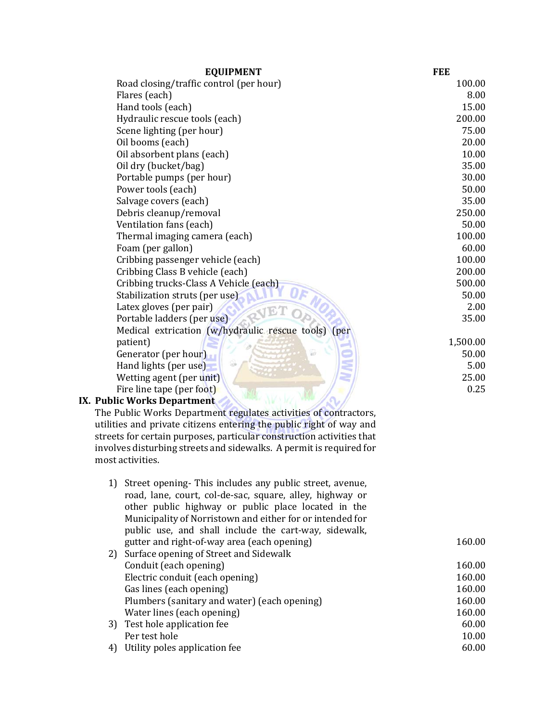| <b>EQUIPMENT</b>                                    | <b>FEE</b> |
|-----------------------------------------------------|------------|
| Road closing/traffic control (per hour)             | 100.00     |
| Flares (each)                                       | 8.00       |
| Hand tools (each)                                   | 15.00      |
| Hydraulic rescue tools (each)                       | 200.00     |
| Scene lighting (per hour)                           | 75.00      |
| Oil booms (each)                                    | 20.00      |
| Oil absorbent plans (each)                          | 10.00      |
| Oil dry (bucket/bag)                                | 35.00      |
| Portable pumps (per hour)                           | 30.00      |
| Power tools (each)                                  | 50.00      |
| Salvage covers (each)                               | 35.00      |
| Debris cleanup/removal                              | 250.00     |
| Ventilation fans (each)                             | 50.00      |
| Thermal imaging camera (each)                       | 100.00     |
| Foam (per gallon)                                   | 60.00      |
| Cribbing passenger vehicle (each)                   | 100.00     |
| Cribbing Class B vehicle (each)                     | 200.00     |
| Cribbing trucks-Class A Vehicle (each)              | 500.00     |
| Stabilization struts (per use)                      | 50.00      |
| Latex gloves (per pair)                             | 2.00       |
| Portable ladders (per use)                          | 35.00      |
| Medical extrication (w/hydraulic rescue tools) (per |            |
| patient)                                            | 1,500.00   |
| Generator (per hour)<br>ast                         | 50.00      |
| Hand lights (per use)                               | 5.00       |
| Wetting agent (per unit)                            | 25.00      |
| Fire line tape (per foot)                           | 0.25       |
| IX. Public Works Department                         |            |

The Public Works Department regulates activities of contractors, utilities and private citizens entering the public right of way and streets for certain purposes, particular construction activities that involves disturbing streets and sidewalks. A permit is required for most activities.

| 1) | Street opening- This includes any public street, avenue,<br>road, lane, court, col-de-sac, square, alley, highway or<br>other public highway or public place located in the<br>Municipality of Norristown and either for or intended for<br>public use, and shall include the cart-way, sidewalk, |        |
|----|---------------------------------------------------------------------------------------------------------------------------------------------------------------------------------------------------------------------------------------------------------------------------------------------------|--------|
|    | gutter and right-of-way area (each opening)                                                                                                                                                                                                                                                       | 160.00 |
|    | 2) Surface opening of Street and Sidewalk                                                                                                                                                                                                                                                         |        |
|    | Conduit (each opening)                                                                                                                                                                                                                                                                            | 160.00 |
|    | Electric conduit (each opening)                                                                                                                                                                                                                                                                   | 160.00 |
|    | Gas lines (each opening)                                                                                                                                                                                                                                                                          | 160.00 |
|    | Plumbers (sanitary and water) (each opening)                                                                                                                                                                                                                                                      | 160.00 |
|    | Water lines (each opening)                                                                                                                                                                                                                                                                        | 160.00 |
|    | 3) Test hole application fee                                                                                                                                                                                                                                                                      | 60.00  |
|    | Per test hole                                                                                                                                                                                                                                                                                     | 10.00  |
| 4) | Utility poles application fee                                                                                                                                                                                                                                                                     | 60.00  |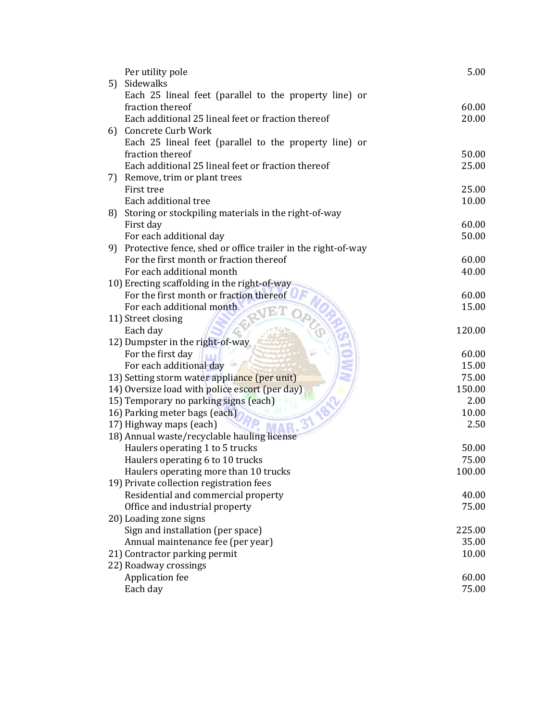| Sidewalks<br>5)<br>Each 25 lineal feet (parallel to the property line) or<br>60.00<br>fraction thereof<br>Each additional 25 lineal feet or fraction thereof<br>20.00<br>6) Concrete Curb Work<br>Each 25 lineal feet (parallel to the property line) or<br>fraction thereof<br>50.00<br>Each additional 25 lineal feet or fraction thereof<br>25.00<br>Remove, trim or plant trees<br>7)<br>First tree<br>25.00<br>Each additional tree<br>10.00<br>Storing or stockpiling materials in the right-of-way<br>8)<br>First day<br>60.00<br>50.00<br>For each additional day<br>Protective fence, shed or office trailer in the right-of-way<br>9)<br>For the first month or fraction thereof<br>60.00<br>For each additional month<br>40.00<br>10) Erecting scaffolding in the right-of-way<br>For the first month or fraction thereof<br>60.00<br>For each additional month<br>15.00<br>11) Street closing<br>Each day<br>120.00<br>12) Dumpster in the right-of-way<br>For the first day<br>60.00<br>For each additional day<br>15.00<br>13) Setting storm water appliance (per unit)<br>75.00<br>14) Oversize load with police escort (per day)<br>150.00<br>15) Temporary no parking signs (each)<br>2.00<br>16) Parking meter bags (each)<br>10.00 |
|-------------------------------------------------------------------------------------------------------------------------------------------------------------------------------------------------------------------------------------------------------------------------------------------------------------------------------------------------------------------------------------------------------------------------------------------------------------------------------------------------------------------------------------------------------------------------------------------------------------------------------------------------------------------------------------------------------------------------------------------------------------------------------------------------------------------------------------------------------------------------------------------------------------------------------------------------------------------------------------------------------------------------------------------------------------------------------------------------------------------------------------------------------------------------------------------------------------------------------------------------------|
|                                                                                                                                                                                                                                                                                                                                                                                                                                                                                                                                                                                                                                                                                                                                                                                                                                                                                                                                                                                                                                                                                                                                                                                                                                                       |
|                                                                                                                                                                                                                                                                                                                                                                                                                                                                                                                                                                                                                                                                                                                                                                                                                                                                                                                                                                                                                                                                                                                                                                                                                                                       |
|                                                                                                                                                                                                                                                                                                                                                                                                                                                                                                                                                                                                                                                                                                                                                                                                                                                                                                                                                                                                                                                                                                                                                                                                                                                       |
|                                                                                                                                                                                                                                                                                                                                                                                                                                                                                                                                                                                                                                                                                                                                                                                                                                                                                                                                                                                                                                                                                                                                                                                                                                                       |
|                                                                                                                                                                                                                                                                                                                                                                                                                                                                                                                                                                                                                                                                                                                                                                                                                                                                                                                                                                                                                                                                                                                                                                                                                                                       |
|                                                                                                                                                                                                                                                                                                                                                                                                                                                                                                                                                                                                                                                                                                                                                                                                                                                                                                                                                                                                                                                                                                                                                                                                                                                       |
|                                                                                                                                                                                                                                                                                                                                                                                                                                                                                                                                                                                                                                                                                                                                                                                                                                                                                                                                                                                                                                                                                                                                                                                                                                                       |
|                                                                                                                                                                                                                                                                                                                                                                                                                                                                                                                                                                                                                                                                                                                                                                                                                                                                                                                                                                                                                                                                                                                                                                                                                                                       |
|                                                                                                                                                                                                                                                                                                                                                                                                                                                                                                                                                                                                                                                                                                                                                                                                                                                                                                                                                                                                                                                                                                                                                                                                                                                       |
|                                                                                                                                                                                                                                                                                                                                                                                                                                                                                                                                                                                                                                                                                                                                                                                                                                                                                                                                                                                                                                                                                                                                                                                                                                                       |
|                                                                                                                                                                                                                                                                                                                                                                                                                                                                                                                                                                                                                                                                                                                                                                                                                                                                                                                                                                                                                                                                                                                                                                                                                                                       |
|                                                                                                                                                                                                                                                                                                                                                                                                                                                                                                                                                                                                                                                                                                                                                                                                                                                                                                                                                                                                                                                                                                                                                                                                                                                       |
|                                                                                                                                                                                                                                                                                                                                                                                                                                                                                                                                                                                                                                                                                                                                                                                                                                                                                                                                                                                                                                                                                                                                                                                                                                                       |
|                                                                                                                                                                                                                                                                                                                                                                                                                                                                                                                                                                                                                                                                                                                                                                                                                                                                                                                                                                                                                                                                                                                                                                                                                                                       |
|                                                                                                                                                                                                                                                                                                                                                                                                                                                                                                                                                                                                                                                                                                                                                                                                                                                                                                                                                                                                                                                                                                                                                                                                                                                       |
|                                                                                                                                                                                                                                                                                                                                                                                                                                                                                                                                                                                                                                                                                                                                                                                                                                                                                                                                                                                                                                                                                                                                                                                                                                                       |
|                                                                                                                                                                                                                                                                                                                                                                                                                                                                                                                                                                                                                                                                                                                                                                                                                                                                                                                                                                                                                                                                                                                                                                                                                                                       |
|                                                                                                                                                                                                                                                                                                                                                                                                                                                                                                                                                                                                                                                                                                                                                                                                                                                                                                                                                                                                                                                                                                                                                                                                                                                       |
|                                                                                                                                                                                                                                                                                                                                                                                                                                                                                                                                                                                                                                                                                                                                                                                                                                                                                                                                                                                                                                                                                                                                                                                                                                                       |
|                                                                                                                                                                                                                                                                                                                                                                                                                                                                                                                                                                                                                                                                                                                                                                                                                                                                                                                                                                                                                                                                                                                                                                                                                                                       |
|                                                                                                                                                                                                                                                                                                                                                                                                                                                                                                                                                                                                                                                                                                                                                                                                                                                                                                                                                                                                                                                                                                                                                                                                                                                       |
|                                                                                                                                                                                                                                                                                                                                                                                                                                                                                                                                                                                                                                                                                                                                                                                                                                                                                                                                                                                                                                                                                                                                                                                                                                                       |
|                                                                                                                                                                                                                                                                                                                                                                                                                                                                                                                                                                                                                                                                                                                                                                                                                                                                                                                                                                                                                                                                                                                                                                                                                                                       |
|                                                                                                                                                                                                                                                                                                                                                                                                                                                                                                                                                                                                                                                                                                                                                                                                                                                                                                                                                                                                                                                                                                                                                                                                                                                       |
|                                                                                                                                                                                                                                                                                                                                                                                                                                                                                                                                                                                                                                                                                                                                                                                                                                                                                                                                                                                                                                                                                                                                                                                                                                                       |
|                                                                                                                                                                                                                                                                                                                                                                                                                                                                                                                                                                                                                                                                                                                                                                                                                                                                                                                                                                                                                                                                                                                                                                                                                                                       |
|                                                                                                                                                                                                                                                                                                                                                                                                                                                                                                                                                                                                                                                                                                                                                                                                                                                                                                                                                                                                                                                                                                                                                                                                                                                       |
|                                                                                                                                                                                                                                                                                                                                                                                                                                                                                                                                                                                                                                                                                                                                                                                                                                                                                                                                                                                                                                                                                                                                                                                                                                                       |
| 17) Highway maps (each)<br>2.50                                                                                                                                                                                                                                                                                                                                                                                                                                                                                                                                                                                                                                                                                                                                                                                                                                                                                                                                                                                                                                                                                                                                                                                                                       |
| 18) Annual waste/recyclable hauling license                                                                                                                                                                                                                                                                                                                                                                                                                                                                                                                                                                                                                                                                                                                                                                                                                                                                                                                                                                                                                                                                                                                                                                                                           |
| Haulers operating 1 to 5 trucks<br>50.00                                                                                                                                                                                                                                                                                                                                                                                                                                                                                                                                                                                                                                                                                                                                                                                                                                                                                                                                                                                                                                                                                                                                                                                                              |
| 75.00<br>Haulers operating 6 to 10 trucks                                                                                                                                                                                                                                                                                                                                                                                                                                                                                                                                                                                                                                                                                                                                                                                                                                                                                                                                                                                                                                                                                                                                                                                                             |
| Haulers operating more than 10 trucks<br>100.00                                                                                                                                                                                                                                                                                                                                                                                                                                                                                                                                                                                                                                                                                                                                                                                                                                                                                                                                                                                                                                                                                                                                                                                                       |
| 19) Private collection registration fees                                                                                                                                                                                                                                                                                                                                                                                                                                                                                                                                                                                                                                                                                                                                                                                                                                                                                                                                                                                                                                                                                                                                                                                                              |
| Residential and commercial property<br>40.00                                                                                                                                                                                                                                                                                                                                                                                                                                                                                                                                                                                                                                                                                                                                                                                                                                                                                                                                                                                                                                                                                                                                                                                                          |
| Office and industrial property<br>75.00                                                                                                                                                                                                                                                                                                                                                                                                                                                                                                                                                                                                                                                                                                                                                                                                                                                                                                                                                                                                                                                                                                                                                                                                               |
| 20) Loading zone signs                                                                                                                                                                                                                                                                                                                                                                                                                                                                                                                                                                                                                                                                                                                                                                                                                                                                                                                                                                                                                                                                                                                                                                                                                                |
| Sign and installation (per space)<br>225.00                                                                                                                                                                                                                                                                                                                                                                                                                                                                                                                                                                                                                                                                                                                                                                                                                                                                                                                                                                                                                                                                                                                                                                                                           |
| Annual maintenance fee (per year)<br>35.00                                                                                                                                                                                                                                                                                                                                                                                                                                                                                                                                                                                                                                                                                                                                                                                                                                                                                                                                                                                                                                                                                                                                                                                                            |
| 21) Contractor parking permit<br>10.00                                                                                                                                                                                                                                                                                                                                                                                                                                                                                                                                                                                                                                                                                                                                                                                                                                                                                                                                                                                                                                                                                                                                                                                                                |
| 22) Roadway crossings                                                                                                                                                                                                                                                                                                                                                                                                                                                                                                                                                                                                                                                                                                                                                                                                                                                                                                                                                                                                                                                                                                                                                                                                                                 |
| 60.00<br>Application fee                                                                                                                                                                                                                                                                                                                                                                                                                                                                                                                                                                                                                                                                                                                                                                                                                                                                                                                                                                                                                                                                                                                                                                                                                              |
| 75.00<br>Each day                                                                                                                                                                                                                                                                                                                                                                                                                                                                                                                                                                                                                                                                                                                                                                                                                                                                                                                                                                                                                                                                                                                                                                                                                                     |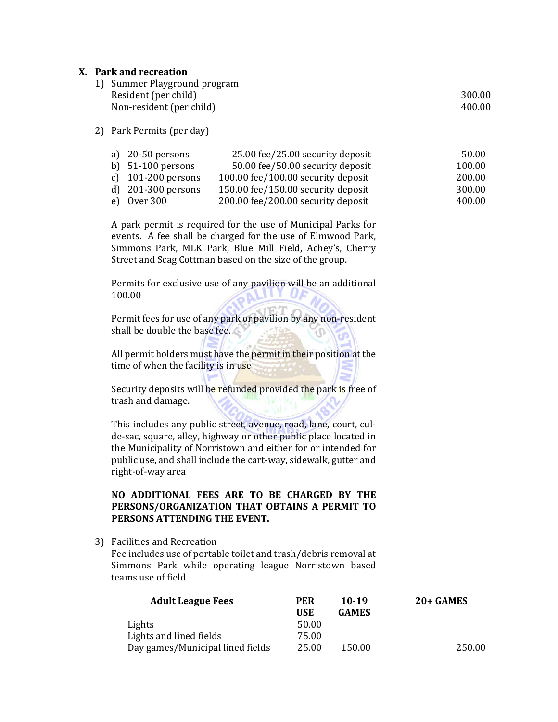#### **X. Park and recreation**

| 1) Summer Playground program |        |
|------------------------------|--------|
| Resident (per child)         | 300.00 |
| Non-resident (per child)     | 400.00 |

# 2) Park Permits (per day)

| a) $20-50$ persons   | 25.00 fee/25.00 security deposit   | 50.00  |
|----------------------|------------------------------------|--------|
| b) $51-100$ persons  | 50.00 fee/50.00 security deposit   | 100.00 |
| c) $101-200$ persons | 100.00 fee/100.00 security deposit | 200.00 |
| d) $201-300$ persons | 150.00 fee/150.00 security deposit | 300.00 |
| e) Over $300$        | 200.00 fee/200.00 security deposit | 400.00 |

A park permit is required for the use of Municipal Parks for events. A fee shall be charged for the use of Elmwood Park, Simmons Park, MLK Park, Blue Mill Field, Achey's, Cherry Street and Scag Cottman based on the size of the group.

Permits for exclusive use of any pavilion will be an additional 100.00 

Permit fees for use of any park or pavilion by any non-resident shall be double the base fee.

All permit holders must have the permit in their position at the time of when the facility is in use

Security deposits will be refunded provided the park is free of trash and damage.

This includes any public street, avenue, road, lane, court, culde-sac, square, alley, highway or other public place located in the Municipality of Norristown and either for or intended for public use, and shall include the cart-way, sidewalk, gutter and right‐of‐way area 

# **NO ADDITIONAL FEES ARE TO BE CHARGED BY THE PERSONS/ORGANIZATION THAT OBTAINS A PERMIT TO PERSONS ATTENDING THE EVENT.**

# 3) Facilities and Recreation

Fee includes use of portable toilet and trash/debris removal at Simmons Park while operating league Norristown based teams use of field

| <b>Adult League Fees</b>         | <b>PER</b> | 10-19        | $20+$ GAMES |
|----------------------------------|------------|--------------|-------------|
|                                  | <b>USE</b> | <b>GAMES</b> |             |
| Lights                           | 50.00      |              |             |
| Lights and lined fields          | 75.00      |              |             |
| Day games/Municipal lined fields | 25.00      | 150.00       | 250.00      |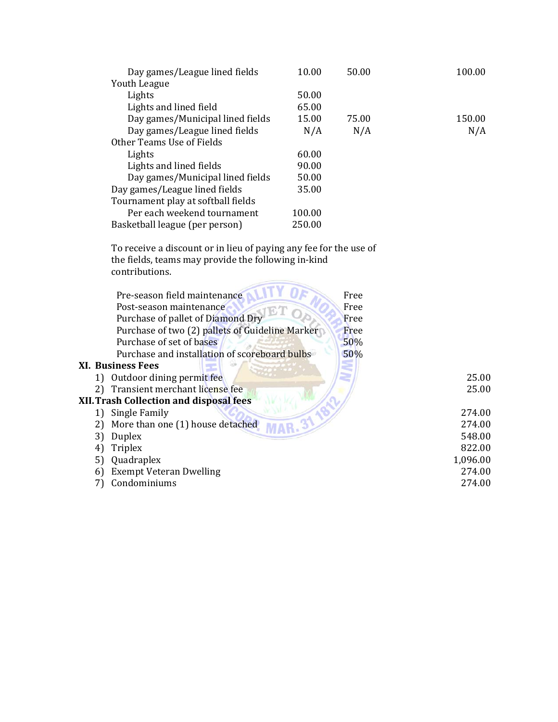| Day games/League lined fields      | 10.00  | 50.00 | 100.00 |
|------------------------------------|--------|-------|--------|
| Youth League                       |        |       |        |
| Lights                             | 50.00  |       |        |
| Lights and lined field             | 65.00  |       |        |
| Day games/Municipal lined fields   | 15.00  | 75.00 | 150.00 |
| Day games/League lined fields      | N/A    | N/A   | N/A    |
| Other Teams Use of Fields          |        |       |        |
| Lights                             | 60.00  |       |        |
| Lights and lined fields            | 90.00  |       |        |
| Day games/Municipal lined fields   | 50.00  |       |        |
| Day games/League lined fields      | 35.00  |       |        |
| Tournament play at softball fields |        |       |        |
| Per each weekend tournament        | 100.00 |       |        |
| Basketball league (per person)     | 250.00 |       |        |

To receive a discount or in lieu of paying any fee for the use of the fields, teams may provide the following in-kind contributions. 

| Pre-season field maintenance                    | Free     |
|-------------------------------------------------|----------|
| Post-season maintenance                         | Free     |
| Purchase of pallet of Diamond Dry               | Free     |
| Purchase of two (2) pallets of Guideline Marker | Free     |
| Purchase of set of bases                        | 50%      |
| Purchase and installation of scoreboard bulbs   | 50%      |
| <b>XI.</b> Business Fees                        |          |
| Outdoor dining permit fee<br>1)                 | 25.00    |
| Transient merchant license fee<br>2)            | 25.00    |
| <b>XII. Trash Collection and disposal fees</b>  |          |
| Single Family<br>1)                             | 274.00   |
| More than one (1) house detached<br>2)          | 274.00   |
| Duplex<br>3)                                    | 548.00   |
| <b>Triplex</b><br>4                             | 822.00   |
| Quadraplex<br>5)                                | 1,096.00 |
| <b>Exempt Veteran Dwelling</b><br>6)            | 274.00   |
| Condominiums                                    | 274.00   |